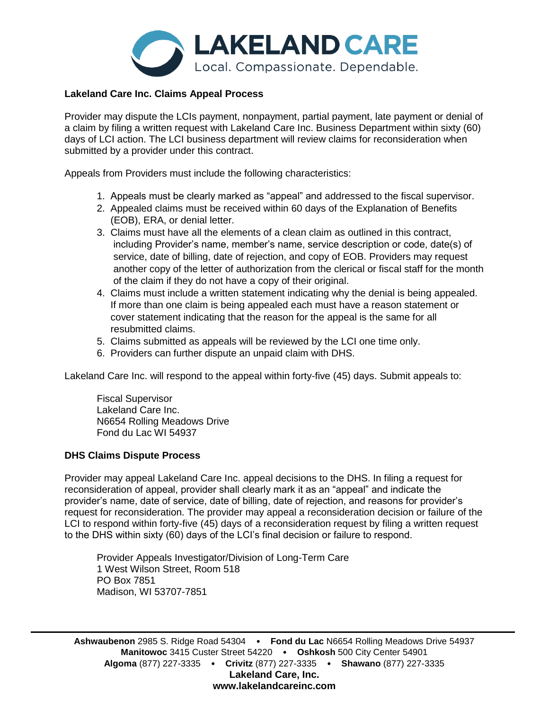

## **Lakeland Care Inc. Claims Appeal Process**

Provider may dispute the LCIs payment, nonpayment, partial payment, late payment or denial of a claim by filing a written request with Lakeland Care Inc. Business Department within sixty (60) days of LCI action. The LCI business department will review claims for reconsideration when submitted by a provider under this contract.

Appeals from Providers must include the following characteristics:

- 1. Appeals must be clearly marked as "appeal" and addressed to the fiscal supervisor.
- 2. Appealed claims must be received within 60 days of the Explanation of Benefits (EOB), ERA, or denial letter.
- 3. Claims must have all the elements of a clean claim as outlined in this contract, including Provider's name, member's name, service description or code, date(s) of service, date of billing, date of rejection, and copy of EOB. Providers may request another copy of the letter of authorization from the clerical or fiscal staff for the month of the claim if they do not have a copy of their original.
- 4. Claims must include a written statement indicating why the denial is being appealed. If more than one claim is being appealed each must have a reason statement or cover statement indicating that the reason for the appeal is the same for all resubmitted claims.
- 5. Claims submitted as appeals will be reviewed by the LCI one time only.
- 6. Providers can further dispute an unpaid claim with DHS.

Lakeland Care Inc. will respond to the appeal within forty-five (45) days. Submit appeals to:

Fiscal Supervisor Lakeland Care Inc. N6654 Rolling Meadows Drive Fond du Lac WI 54937

## **DHS Claims Dispute Process**

Provider may appeal Lakeland Care Inc. appeal decisions to the DHS. In filing a request for reconsideration of appeal, provider shall clearly mark it as an "appeal" and indicate the provider's name, date of service, date of billing, date of rejection, and reasons for provider's request for reconsideration. The provider may appeal a reconsideration decision or failure of the LCI to respond within forty-five (45) days of a reconsideration request by filing a written request to the DHS within sixty (60) days of the LCI's final decision or failure to respond.

Provider Appeals Investigator/Division of Long-Term Care 1 West Wilson Street, Room 518 PO Box 7851 Madison, WI 53707-7851

**Ashwaubenon** 2985 S. Ridge Road 54304 • **Fond du Lac** N6654 Rolling Meadows Drive 54937 **Manitowoc** 3415 Custer Street 54220 • **Oshkosh** 500 City Center 54901 **Algoma** (877) 227-3335 • **Crivitz** (877) 227-3335 • **Shawano** (877) 227-3335 **Lakeland Care, Inc. www.lakelandcareinc.com**